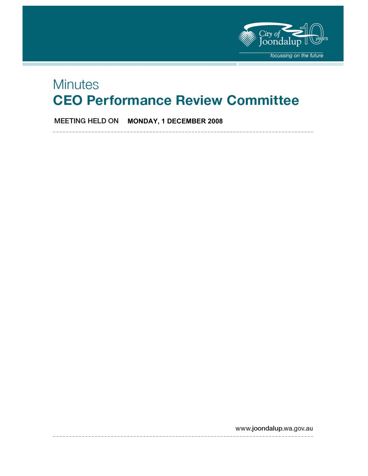

# **Minutes CEO Performance Review Committee**

**MEETING HELD ON MONDAY, 1 DECEMBER 2008** 

www.joondalup.wa.gov.au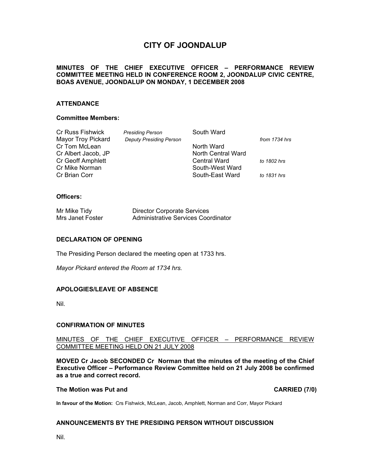# **CITY OF JOONDALUP**

#### **MINUTES OF THE CHIEF EXECUTIVE OFFICER – PERFORMANCE REVIEW COMMITTEE MEETING HELD IN CONFERENCE ROOM 2, JOONDALUP CIVIC CENTRE, BOAS AVENUE, JOONDALUP ON MONDAY, 1 DECEMBER 2008**

#### **ATTENDANCE**

#### **Committee Members:**

| Cr Russ Fishwick         | <b>Presiding Person</b>        | South Ward          |               |
|--------------------------|--------------------------------|---------------------|---------------|
| Mayor Troy Pickard       | <b>Deputy Presiding Person</b> |                     | from 1734 hrs |
| Cr Tom McLean            |                                | North Ward          |               |
| Cr Albert Jacob, JP      |                                | North Central Ward  |               |
| <b>Cr Geoff Amphlett</b> |                                | <b>Central Ward</b> | to 1802 hrs   |
| Cr Mike Norman           |                                | South-West Ward     |               |
| Cr Brian Corr            |                                | South-East Ward     | to 1831 hrs   |
|                          |                                |                     |               |

#### **Officers:**

| Mr Mike Tidy     | <b>Director Corporate Services</b>  |
|------------------|-------------------------------------|
| Mrs Janet Foster | Administrative Services Coordinator |

#### **DECLARATION OF OPENING**

The Presiding Person declared the meeting open at 1733 hrs.

*Mayor Pickard entered the Room at 1734 hrs.* 

#### **APOLOGIES/LEAVE OF ABSENCE**

Nil.

#### **CONFIRMATION OF MINUTES**

#### MINUTES OF THE CHIEF EXECUTIVE OFFICER – PERFORMANCE REVIEW COMMITTEE MEETING HELD ON 21 JULY 2008

**MOVED Cr Jacob SECONDED Cr Norman that the minutes of the meeting of the Chief Executive Officer – Performance Review Committee held on 21 July 2008 be confirmed as a true and correct record.** 

#### **The Motion was Put and CARRIED (7/0) CARRIED** (7/0)

**In favour of the Motion:** Crs Fishwick, McLean, Jacob, Amphlett, Norman and Corr, Mayor Pickard

#### **ANNOUNCEMENTS BY THE PRESIDING PERSON WITHOUT DISCUSSION**

Nil.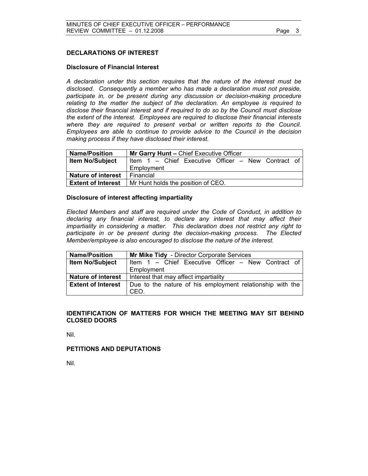#### **DECLARATIONS OF INTEREST**

#### **Disclosure of Financial Interest**

*A declaration under this section requires that the nature of the interest must be disclosed. Consequently a member who has made a declaration must not preside, participate in, or be present during any discussion or decision-making procedure relating to the matter the subject of the declaration. An employee is required to disclose their financial interest and if required to do so by the Council must disclose the extent of the interest. Employees are required to disclose their financial interests where they are required to present verbal or written reports to the Council. Employees are able to continue to provide advice to the Council in the decision making process if they have disclosed their interest.* 

| <b>Name/Position</b>      | Mr Garry Hunt - Chief Executive Officer            |  |
|---------------------------|----------------------------------------------------|--|
| <b>Item No/Subject</b>    | Item 1 - Chief Executive Officer - New Contract of |  |
|                           | Employment                                         |  |
| <b>Nature of interest</b> | Financial                                          |  |
| <b>Extent of Interest</b> | Mr Hunt holds the position of CEO.                 |  |

#### **Disclosure of interest affecting impartiality**

 *Elected Members and staff are required under the Code of Conduct, in addition to declaring any financial interest, to declare any interest that may affect their impartiality in considering a matter. This declaration does not restrict any right to participate in or be present during the decision-making process. The Elected Member/employee is also encouraged to disclose the nature of the interest.* 

| <b>Name/Position</b>      | Mr Mike Tidy - Director Corporate Services                |  |
|---------------------------|-----------------------------------------------------------|--|
| <b>Item No/Subject</b>    | Item 1 – Chief Executive Officer – New Contract of        |  |
|                           | Employment                                                |  |
| <b>Nature of interest</b> | Interest that may affect impartiality                     |  |
| <b>Extent of Interest</b> | Due to the nature of his employment relationship with the |  |
|                           | CEO.                                                      |  |

#### **IDENTIFICATION OF MATTERS FOR WHICH THE MEETING MAY SIT BEHIND CLOSED DOORS**

Nil.

#### **PETITIONS AND DEPUTATIONS**

Nil.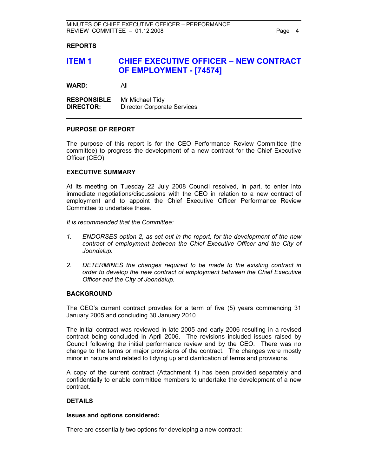#### **REPORTS**

## **ITEM 1 CHIEF EXECUTIVE OFFICER – NEW CONTRACT OF EMPLOYMENT - [74574]**

**WARD:** All

**RESPONSIBLE** Mr Michael Tidy **DIRECTOR:** Director Corporate Services

#### **PURPOSE OF REPORT**

The purpose of this report is for the CEO Performance Review Committee (the committee) to progress the development of a new contract for the Chief Executive Officer (CEO).

#### **EXECUTIVE SUMMARY**

At its meeting on Tuesday 22 July 2008 Council resolved, in part, to enter into immediate negotiations/discussions with the CEO in relation to a new contract of employment and to appoint the Chief Executive Officer Performance Review Committee to undertake these.

*It is recommended that the Committee:* 

- *1. ENDORSES option 2, as set out in the report, for the development of the new contract of employment between the Chief Executive Officer and the City of Joondalup.*
- *2. DETERMINES the changes required to be made to the existing contract in order to develop the new contract of employment between the Chief Executive Officer and the City of Joondalup.*

#### **BACKGROUND**

The CEO's current contract provides for a term of five (5) years commencing 31 January 2005 and concluding 30 January 2010.

The initial contract was reviewed in late 2005 and early 2006 resulting in a revised contract being concluded in April 2006. The revisions included issues raised by Council following the initial performance review and by the CEO. There was no change to the terms or major provisions of the contract. The changes were mostly minor in nature and related to tidying up and clarification of terms and provisions.

A copy of the current contract (Attachment 1) has been provided separately and confidentially to enable committee members to undertake the development of a new contract.

#### **DETAILS**

#### **Issues and options considered:**

There are essentially two options for developing a new contract: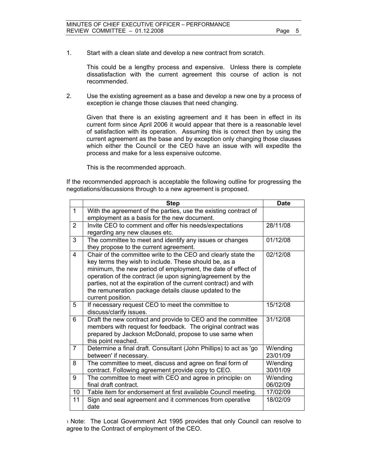1. Start with a clean slate and develop a new contract from scratch.

This could be a lengthy process and expensive. Unless there is complete dissatisfaction with the current agreement this course of action is not recommended.

2. Use the existing agreement as a base and develop a new one by a process of exception ie change those clauses that need changing.

Given that there is an existing agreement and it has been in effect in its current form since April 2006 it would appear that there is a reasonable level of satisfaction with its operation. Assuming this is correct then by using the current agreement as the base and by exception only changing those clauses which either the Council or the CEO have an issue with will expedite the process and make for a less expensive outcome.

This is the recommended approach.

If the recommended approach is acceptable the following outline for progressing the negotiations/discussions through to a new agreement is proposed.

|                | <b>Step</b>                                                           | <b>Date</b> |
|----------------|-----------------------------------------------------------------------|-------------|
| $\mathbf 1$    | With the agreement of the parties, use the existing contract of       |             |
|                | employment as a basis for the new document.                           |             |
| 2              | Invite CEO to comment and offer his needs/expectations                | 28/11/08    |
|                | regarding any new clauses etc.                                        |             |
| 3              | The committee to meet and identify any issues or changes              | 01/12/08    |
|                | they propose to the current agreement.                                |             |
| 4              | Chair of the committee write to the CEO and clearly state the         | 02/12/08    |
|                | key terms they wish to include. These should be, as a                 |             |
|                | minimum, the new period of employment, the date of effect of          |             |
|                | operation of the contract (ie upon signing/agreement by the           |             |
|                | parties, not at the expiration of the current contract) and with      |             |
|                | the remuneration package details clause updated to the                |             |
|                | current position.                                                     |             |
| 5              | If necessary request CEO to meet the committee to                     | 15/12/08    |
|                | discuss/clarify issues.                                               |             |
| 6              | Draft the new contract and provide to CEO and the committee           | 31/12/08    |
|                | members with request for feedback. The original contract was          |             |
|                | prepared by Jackson McDonald, propose to use same when                |             |
|                | this point reached.                                                   |             |
| $\overline{7}$ | Determine a final draft. Consultant (John Phillips) to act as 'go     | W/ending    |
|                | between' if necessary.                                                | 23/01/09    |
| 8              | The committee to meet, discuss and agree on final form of             | W/ending    |
|                | contract. Following agreement provide copy to CEO.                    | 30/01/09    |
| 9              | The committee to meet with CEO and agree in principle <sub>1</sub> on | W/ending    |
|                | final draft contract.                                                 | 06/02/09    |
| 10             | Table item for endorsement at first available Council meeting.        | 17/02/09    |
| 11             | Sign and seal agreement and it commences from operative               | 18/02/09    |
|                | date                                                                  |             |

1 Note: The Local Government Act 1995 provides that only Council can resolve to agree to the Contract of employment of the CEO.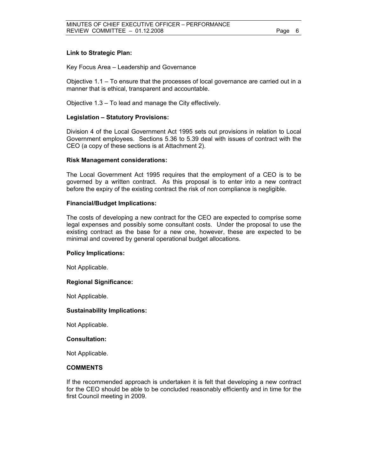#### **Link to Strategic Plan:**

Key Focus Area – Leadership and Governance

Objective 1.1 – To ensure that the processes of local governance are carried out in a manner that is ethical, transparent and accountable.

Objective 1.3 – To lead and manage the City effectively.

#### **Legislation – Statutory Provisions:**

Division 4 of the Local Government Act 1995 sets out provisions in relation to Local Government employees. Sections 5.36 to 5.39 deal with issues of contract with the CEO (a copy of these sections is at Attachment 2).

#### **Risk Management considerations:**

The Local Government Act 1995 requires that the employment of a CEO is to be governed by a written contract. As this proposal is to enter into a new contract before the expiry of the existing contract the risk of non compliance is negligible.

#### **Financial/Budget Implications:**

The costs of developing a new contract for the CEO are expected to comprise some legal expenses and possibly some consultant costs. Under the proposal to use the existing contract as the base for a new one, however, these are expected to be minimal and covered by general operational budget allocations.

#### **Policy Implications:**

Not Applicable.

#### **Regional Significance:**

Not Applicable.

#### **Sustainability Implications:**

Not Applicable.

#### **Consultation:**

Not Applicable.

#### **COMMENTS**

If the recommended approach is undertaken it is felt that developing a new contract for the CEO should be able to be concluded reasonably efficiently and in time for the first Council meeting in 2009.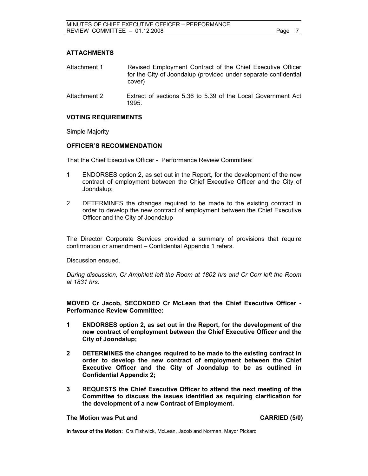#### **ATTACHMENTS**

| Revised Employment Contract of the Chief Executive Officer      |
|-----------------------------------------------------------------|
| for the City of Joondalup (provided under separate confidential |
| cover)                                                          |
|                                                                 |

Attachment 2 Extract of sections 5.36 to 5.39 of the Local Government Act 1995.

#### **VOTING REQUIREMENTS**

Simple Majority

#### **OFFICER'S RECOMMENDATION**

That the Chief Executive Officer - Performance Review Committee:

- 1 ENDORSES option 2, as set out in the Report, for the development of the new contract of employment between the Chief Executive Officer and the City of Joondalup;
- 2 DETERMINES the changes required to be made to the existing contract in order to develop the new contract of employment between the Chief Executive Officer and the City of Joondalup

The Director Corporate Services provided a summary of provisions that require confirmation or amendment – Confidential Appendix 1 refers.

Discussion ensued.

*During discussion, Cr Amphlett left the Room at 1802 hrs and Cr Corr left the Room at 1831 hrs.* 

**MOVED Cr Jacob, SECONDED Cr McLean that the Chief Executive Officer - Performance Review Committee:** 

- **1 ENDORSES option 2, as set out in the Report, for the development of the new contract of employment between the Chief Executive Officer and the City of Joondalup;**
- **2 DETERMINES the changes required to be made to the existing contract in order to develop the new contract of employment between the Chief Executive Officer and the City of Joondalup to be as outlined in Confidential Appendix 2;**
- **3 REQUESTS the Chief Executive Officer to attend the next meeting of the Committee to discuss the issues identified as requiring clarification for the development of a new Contract of Employment.**

#### **The Motion was Put and CARRIED (5/0) CARRIED (5/0)**

**In favour of the Motion:** Crs Fishwick, McLean, Jacob and Norman, Mayor Pickard